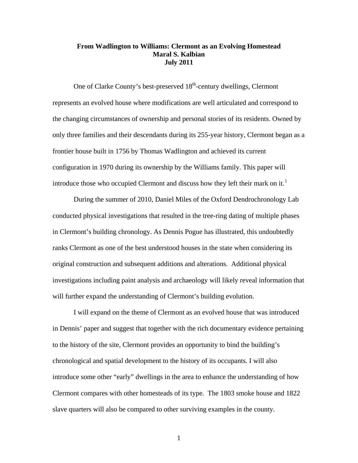# **From Wadlington to Williams: Clermont as an Evolving Homestead Maral S. Kalbian July 2011**

One of Clarke County's best-preserved 18<sup>th</sup>-century dwellings, Clermont represents an evolved house where modifications are well articulated and correspond to the changing circumstances of ownership and personal stories of its residents. Owned by only three families and their descendants during its 255-year history, Clermont began as a frontier house built in 1756 by Thomas Wadlington and achieved its current configuration in 1970 during its ownership by the Williams family. This paper will introduce those who occupied Clermont and discuss how they left their mark on it.<sup>[1](#page-2-0)</sup>

During the summer of 2010, Daniel Miles of the Oxford Dendrochronology Lab conducted physical investigations that resulted in the tree-ring dating of multiple phases in Clermont's building chronology. As Dennis Pogue has illustrated, this undoubtedly ranks Clermont as one of the best understood houses in the state when considering its original construction and subsequent additions and alterations. Additional physical investigations including paint analysis and archaeology will likely reveal information that will further expand the understanding of Clermont's building evolution.

I will expand on the theme of Clermont as an evolved house that was introduced in Dennis' paper and suggest that together with the rich documentary evidence pertaining to the history of the site, Clermont provides an opportunity to bind the building's chronological and spatial development to the history of its occupants. I will also introduce some other "early" dwellings in the area to enhance the understanding of how Clermont compares with other homesteads of its type. The 1803 smoke house and 1822 slave quarters will also be compared to other surviving examples in the county.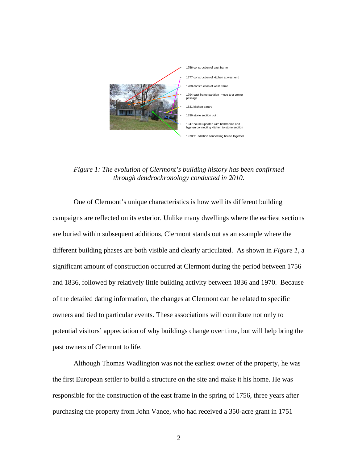

*Figure 1: The evolution of Clermont's building history has been confirmed through dendrochronology conducted in 2010.* 

One of Clermont's unique characteristics is how well its different building campaigns are reflected on its exterior. Unlike many dwellings where the earliest sections are buried within subsequent additions, Clermont stands out as an example where the different building phases are both visible and clearly articulated. As shown in *Figure 1*, a significant amount of construction occurred at Clermont during the period between 1756 and 1836, followed by relatively little building activity between 1836 and 1970. Because of the detailed dating information, the changes at Clermont can be related to specific owners and tied to particular events. These associations will contribute not only to potential visitors' appreciation of why buildings change over time, but will help bring the past owners of Clermont to life.

Although Thomas Wadlington was not the earliest owner of the property, he was the first European settler to build a structure on the site and make it his home. He was responsible for the construction of the east frame in the spring of 1756, three years after purchasing the property from John Vance, who had received a 350-acre grant in 1751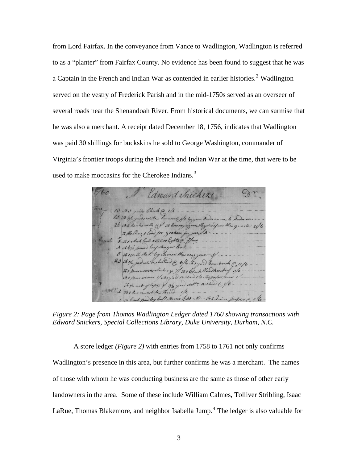<span id="page-2-3"></span><span id="page-2-2"></span><span id="page-2-1"></span><span id="page-2-0"></span>from Lord Fairfax. In the conveyance from Vance to Wadlington, Wadlington is referred to as a "planter" from Fairfax County. No evidence has been found to suggest that he was a Captain in the French and Indian War as contended in earlier histories.<sup>[2](#page-2-1)</sup> Wadlington served on the vestry of Frederick Parish and in the mid-1750s served as an overseer of several roads near the Shenandoah River. From historical documents, we can surmise that he was also a merchant. A receipt dated December 18, 1756, indicates that Wadlington was paid 30 shillings for buckskins he sold to George Washington, commander of Virginia's frontier troops during the French and Indian War at the time, that were to be used to make moccasins for the Cherokee Indians.<sup>[3](#page-2-2)</sup>

<span id="page-2-12"></span><span id="page-2-11"></span><span id="page-2-10"></span><span id="page-2-9"></span><span id="page-2-8"></span><span id="page-2-7"></span><span id="page-2-6"></span><span id="page-2-5"></span><span id="page-2-4"></span>laward chicken 13 Jo 3 yards Check @ 1/1 . -25 to 31/2 yards white human @ 3/3 by your Order on me to know son 26 082 hanks with CI 5 barraying one Hogohand from the quarter 216 To Halling I load for graham for you LA ... 1 31 Noch lock 556200 lights @ of me .. 5 To 1 Sall Hat by Sames the wag your S/ ... 23 Josh god white holdend @ b/b to good Cambrick @ 12/6 To I pairwomens Stockings 7/ 500 Check Handkerchief 3/3 to I pair sions 1/ to 1 yard A. blond 1/3 To paper pins 1 To 1/2 not of laps if 3/2 yard statten nibbond E 1/6 2 Jo1 Sunce white thread 1/6 5 To Couch paid by bol! Mercer LA1-10- Jo2 Luire

<span id="page-2-16"></span><span id="page-2-15"></span><span id="page-2-14"></span><span id="page-2-13"></span>*Figure 2: Page from Thomas Wadlington Ledger dated 1760 showing transactions with Edward Snickers, Special Collections Library, Duke University, Durham, N.C.* 

<span id="page-2-17"></span>A store ledger *(Figure 2)* with entries from 1758 to 1761 not only confirms Wadlington's presence in this area, but further confirms he was a merchant. The names of those with whom he was conducting business are the same as those of other early landowners in the area. Some of these include William Calmes, Tolliver Stribling, Isaac LaRue, Thomas Blakemore, and neighbor Isabella Jump.<sup>[4](#page-2-3)</sup> The ledger is also valuable for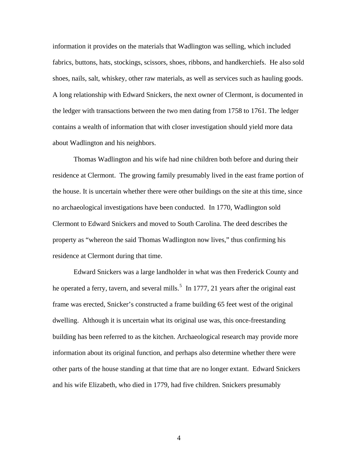information it provides on the materials that Wadlington was selling, which included fabrics, buttons, hats, stockings, scissors, shoes, ribbons, and handkerchiefs. He also sold shoes, nails, salt, whiskey, other raw materials, as well as services such as hauling goods. A long relationship with Edward Snickers, the next owner of Clermont, is documented in the ledger with transactions between the two men dating from 1758 to 1761. The ledger contains a wealth of information that with closer investigation should yield more data about Wadlington and his neighbors.

Thomas Wadlington and his wife had nine children both before and during their residence at Clermont. The growing family presumably lived in the east frame portion of the house. It is uncertain whether there were other buildings on the site at this time, since no archaeological investigations have been conducted. In 1770, Wadlington sold Clermont to Edward Snickers and moved to South Carolina. The deed describes the property as "whereon the said Thomas Wadlington now lives," thus confirming his residence at Clermont during that time.

Edward Snickers was a large landholder in what was then Frederick County and he operated a ferry, tavern, and several mills.<sup>[5](#page-2-4)</sup> In 1777, 21 years after the original east frame was erected, Snicker's constructed a frame building 65 feet west of the original dwelling. Although it is uncertain what its original use was, this once-freestanding building has been referred to as the kitchen. Archaeological research may provide more information about its original function, and perhaps also determine whether there were other parts of the house standing at that time that are no longer extant. Edward Snickers and his wife Elizabeth, who died in 1779, had five children. Snickers presumably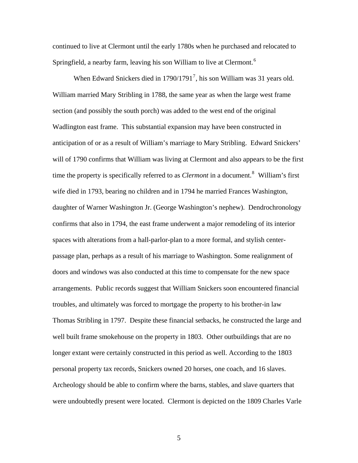continued to live at Clermont until the early 1780s when he purchased and relocated to Springfield, a nearby farm, leaving his son William to live at Clermont.<sup>[6](#page-2-5)</sup>

When Edward Snickers died in  $1790/1791^7$  $1790/1791^7$  $1790/1791^7$ , his son William was 31 years old. William married Mary Stribling in 1788, the same year as when the large west frame section (and possibly the south porch) was added to the west end of the original Wadlington east frame. This substantial expansion may have been constructed in anticipation of or as a result of William's marriage to Mary Stribling. Edward Snickers' will of 1790 confirms that William was living at Clermont and also appears to be the first time the property is specifically referred to as *Clermont* in a document.<sup>[8](#page-2-7)</sup> William's first wife died in 1793, bearing no children and in 1794 he married Frances Washington, daughter of Warner Washington Jr. (George Washington's nephew). Dendrochronology confirms that also in 1794, the east frame underwent a major remodeling of its interior spaces with alterations from a hall-parlor-plan to a more formal, and stylish centerpassage plan, perhaps as a result of his marriage to Washington. Some realignment of doors and windows was also conducted at this time to compensate for the new space arrangements. Public records suggest that William Snickers soon encountered financial troubles, and ultimately was forced to mortgage the property to his brother-in law Thomas Stribling in 1797. Despite these financial setbacks, he constructed the large and well built frame smokehouse on the property in 1803. Other outbuildings that are no longer extant were certainly constructed in this period as well. According to the 1803 personal property tax records, Snickers owned 20 horses, one coach, and 16 slaves. Archeology should be able to confirm where the barns, stables, and slave quarters that were undoubtedly present were located. Clermont is depicted on the 1809 Charles Varle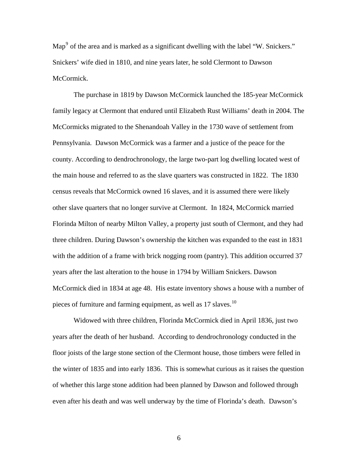Map<sup>[9](#page-2-8)</sup> of the area and is marked as a significant dwelling with the label "W. Snickers." Snickers' wife died in 1810, and nine years later, he sold Clermont to Dawson McCormick.

The purchase in 1819 by Dawson McCormick launched the 185-year McCormick family legacy at Clermont that endured until Elizabeth Rust Williams' death in 2004. The McCormicks migrated to the Shenandoah Valley in the 1730 wave of settlement from Pennsylvania. Dawson McCormick was a farmer and a justice of the peace for the county. According to dendrochronology, the large two-part log dwelling located west of the main house and referred to as the slave quarters was constructed in 1822. The 1830 census reveals that McCormick owned 16 slaves, and it is assumed there were likely other slave quarters that no longer survive at Clermont. In 1824, McCormick married Florinda Milton of nearby Milton Valley, a property just south of Clermont, and they had three children. During Dawson's ownership the kitchen was expanded to the east in 1831 with the addition of a frame with brick nogging room (pantry). This addition occurred 37 years after the last alteration to the house in 1794 by William Snickers. Dawson McCormick died in 1834 at age 48. His estate inventory shows a house with a number of pieces of furniture and farming equipment, as well as 17 slaves.<sup>[10](#page-2-9)</sup>

Widowed with three children, Florinda McCormick died in April 1836, just two years after the death of her husband. According to dendrochronology conducted in the floor joists of the large stone section of the Clermont house, those timbers were felled in the winter of 1835 and into early 1836. This is somewhat curious as it raises the question of whether this large stone addition had been planned by Dawson and followed through even after his death and was well underway by the time of Florinda's death. Dawson's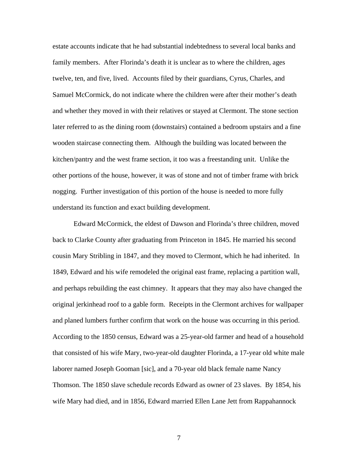estate accounts indicate that he had substantial indebtedness to several local banks and family members. After Florinda's death it is unclear as to where the children, ages twelve, ten, and five, lived. Accounts filed by their guardians, Cyrus, Charles, and Samuel McCormick, do not indicate where the children were after their mother's death and whether they moved in with their relatives or stayed at Clermont. The stone section later referred to as the dining room (downstairs) contained a bedroom upstairs and a fine wooden staircase connecting them. Although the building was located between the kitchen/pantry and the west frame section, it too was a freestanding unit. Unlike the other portions of the house, however, it was of stone and not of timber frame with brick nogging. Further investigation of this portion of the house is needed to more fully understand its function and exact building development.

Edward McCormick, the eldest of Dawson and Florinda's three children, moved back to Clarke County after graduating from Princeton in 1845. He married his second cousin Mary Stribling in 1847, and they moved to Clermont, which he had inherited. In 1849, Edward and his wife remodeled the original east frame, replacing a partition wall, and perhaps rebuilding the east chimney. It appears that they may also have changed the original jerkinhead roof to a gable form. Receipts in the Clermont archives for wallpaper and planed lumbers further confirm that work on the house was occurring in this period. According to the 1850 census, Edward was a 25-year-old farmer and head of a household that consisted of his wife Mary, two-year-old daughter Florinda, a 17-year old white male laborer named Joseph Gooman [sic], and a 70-year old black female name Nancy Thomson. The 1850 slave schedule records Edward as owner of 23 slaves. By 1854, his wife Mary had died, and in 1856, Edward married Ellen Lane Jett from Rappahannock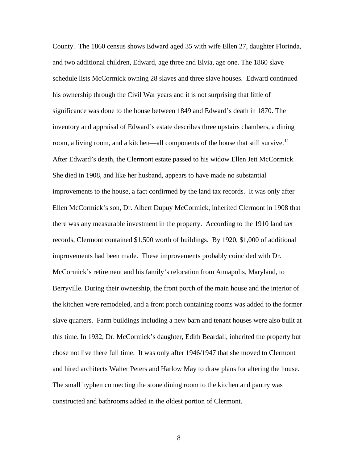County. The 1860 census shows Edward aged 35 with wife Ellen 27, daughter Florinda, and two additional children, Edward, age three and Elvia, age one. The 1860 slave schedule lists McCormick owning 28 slaves and three slave houses. Edward continued his ownership through the Civil War years and it is not surprising that little of significance was done to the house between 1849 and Edward's death in 1870. The inventory and appraisal of Edward's estate describes three upstairs chambers, a dining room, a living room, and a kitchen—all components of the house that still survive.<sup>[11](#page-2-10)</sup> After Edward's death, the Clermont estate passed to his widow Ellen Jett McCormick. She died in 1908, and like her husband, appears to have made no substantial improvements to the house, a fact confirmed by the land tax records. It was only after Ellen McCormick's son, Dr. Albert Dupuy McCormick, inherited Clermont in 1908 that there was any measurable investment in the property. According to the 1910 land tax records, Clermont contained \$1,500 worth of buildings. By 1920, \$1,000 of additional improvements had been made. These improvements probably coincided with Dr. McCormick's retirement and his family's relocation from Annapolis, Maryland, to Berryville. During their ownership, the front porch of the main house and the interior of the kitchen were remodeled, and a front porch containing rooms was added to the former slave quarters. Farm buildings including a new barn and tenant houses were also built at this time. In 1932, Dr. McCormick's daughter, Edith Beardall, inherited the property but chose not live there full time. It was only after 1946/1947 that she moved to Clermont and hired architects Walter Peters and Harlow May to draw plans for altering the house. The small hyphen connecting the stone dining room to the kitchen and pantry was constructed and bathrooms added in the oldest portion of Clermont.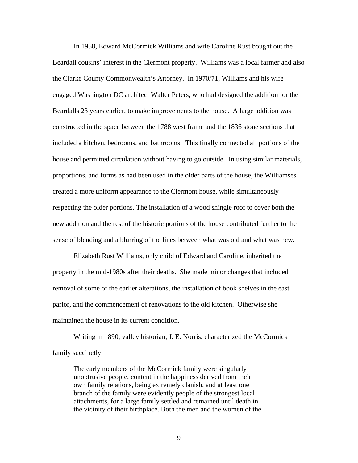In 1958, Edward McCormick Williams and wife Caroline Rust bought out the Beardall cousins' interest in the Clermont property. Williams was a local farmer and also the Clarke County Commonwealth's Attorney. In 1970/71, Williams and his wife engaged Washington DC architect Walter Peters, who had designed the addition for the Beardalls 23 years earlier, to make improvements to the house. A large addition was constructed in the space between the 1788 west frame and the 1836 stone sections that included a kitchen, bedrooms, and bathrooms. This finally connected all portions of the house and permitted circulation without having to go outside. In using similar materials, proportions, and forms as had been used in the older parts of the house, the Williamses created a more uniform appearance to the Clermont house, while simultaneously respecting the older portions. The installation of a wood shingle roof to cover both the new addition and the rest of the historic portions of the house contributed further to the sense of blending and a blurring of the lines between what was old and what was new.

Elizabeth Rust Williams, only child of Edward and Caroline, inherited the property in the mid-1980s after their deaths. She made minor changes that included removal of some of the earlier alterations, the installation of book shelves in the east parlor, and the commencement of renovations to the old kitchen. Otherwise she maintained the house in its current condition.

Writing in 1890, valley historian, J. E. Norris, characterized the McCormick family succinctly:

The early members of the McCormick family were singularly unobtrusive people, content in the happiness derived from their own family relations, being extremely clanish, and at least one branch of the family were evidently people of the strongest local attachments, for a large family settled and remained until death in the vicinity of their birthplace. Both the men and the women of the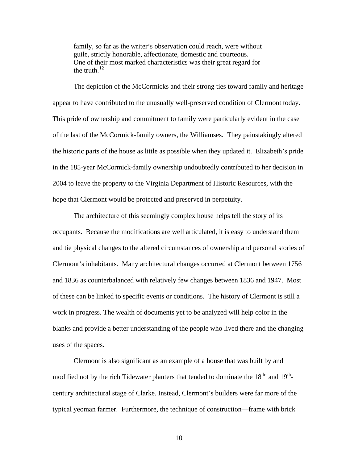family, so far as the writer's observation could reach, were without guile, strictly honorable, affectionate, domestic and courteous. One of their most marked characteristics was their great regard for the truth. $12$ 

The depiction of the McCormicks and their strong ties toward family and heritage appear to have contributed to the unusually well-preserved condition of Clermont today. This pride of ownership and commitment to family were particularly evident in the case of the last of the McCormick-family owners, the Williamses. They painstakingly altered the historic parts of the house as little as possible when they updated it. Elizabeth's pride in the 185-year McCormick-family ownership undoubtedly contributed to her decision in 2004 to leave the property to the Virginia Department of Historic Resources, with the hope that Clermont would be protected and preserved in perpetuity.

The architecture of this seemingly complex house helps tell the story of its occupants. Because the modifications are well articulated, it is easy to understand them and tie physical changes to the altered circumstances of ownership and personal stories of Clermont's inhabitants. Many architectural changes occurred at Clermont between 1756 and 1836 as counterbalanced with relatively few changes between 1836 and 1947. Most of these can be linked to specific events or conditions. The history of Clermont is still a work in progress. The wealth of documents yet to be analyzed will help color in the blanks and provide a better understanding of the people who lived there and the changing uses of the spaces.

Clermont is also significant as an example of a house that was built by and modified not by the rich Tidewater planters that tended to dominate the  $18<sup>th</sup>$  and  $19<sup>th</sup>$ . century architectural stage of Clarke. Instead, Clermont's builders were far more of the typical yeoman farmer. Furthermore, the technique of construction—frame with brick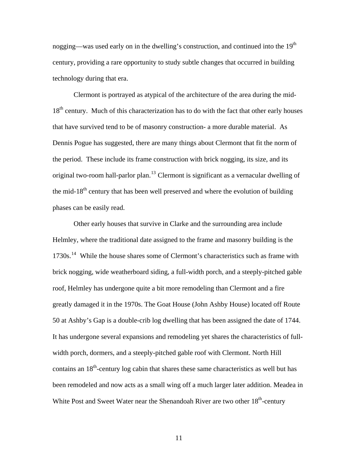nogging—was used early on in the dwelling's construction, and continued into the  $19<sup>th</sup>$ century, providing a rare opportunity to study subtle changes that occurred in building technology during that era.

Clermont is portrayed as atypical of the architecture of the area during the mid-18<sup>th</sup> century. Much of this characterization has to do with the fact that other early houses that have survived tend to be of masonry construction- a more durable material. As Dennis Pogue has suggested, there are many things about Clermont that fit the norm of the period. These include its frame construction with brick nogging, its size, and its original two-room hall-parlor plan.<sup>[13](#page-2-12)</sup> Clermont is significant as a vernacular dwelling of the mid-18<sup>th</sup> century that has been well preserved and where the evolution of building phases can be easily read.

Other early houses that survive in Clarke and the surrounding area include Helmley, where the traditional date assigned to the frame and masonry building is the 1730s.[14](#page-2-13) While the house shares some of Clermont's characteristics such as frame with brick nogging, wide weatherboard siding, a full-width porch, and a steeply-pitched gable roof, Helmley has undergone quite a bit more remodeling than Clermont and a fire greatly damaged it in the 1970s. The Goat House (John Ashby House) located off Route 50 at Ashby's Gap is a double-crib log dwelling that has been assigned the date of 1744. It has undergone several expansions and remodeling yet shares the characteristics of fullwidth porch, dormers, and a steeply-pitched gable roof with Clermont. North Hill contains an  $18<sup>th</sup>$ -century log cabin that shares these same characteristics as well but has been remodeled and now acts as a small wing off a much larger later addition. Meadea in White Post and Sweet Water near the Shenandoah River are two other  $18<sup>th</sup>$ -century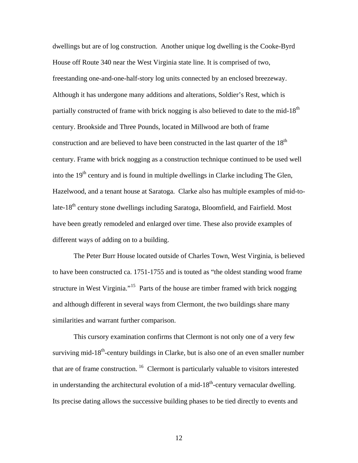dwellings but are of log construction. Another unique log dwelling is the Cooke-Byrd House off Route 340 near the West Virginia state line. It is comprised of two, freestanding one-and-one-half-story log units connected by an enclosed breezeway. Although it has undergone many additions and alterations, Soldier's Rest, which is partially constructed of frame with brick nogging is also believed to date to the mid-18<sup>th</sup> century. Brookside and Three Pounds, located in Millwood are both of frame construction and are believed to have been constructed in the last quarter of the  $18<sup>th</sup>$ century. Frame with brick nogging as a construction technique continued to be used well into the 19<sup>th</sup> century and is found in multiple dwellings in Clarke including The Glen, Hazelwood, and a tenant house at Saratoga. Clarke also has multiple examples of mid-tolate-18<sup>th</sup> century stone dwellings including Saratoga, Bloomfield, and Fairfield. Most have been greatly remodeled and enlarged over time. These also provide examples of different ways of adding on to a building.

The Peter Burr House located outside of Charles Town, West Virginia, is believed to have been constructed ca. 1751-1755 and is touted as "the oldest standing wood frame structure in West Virginia."[15](#page-2-14) Parts of the house are timber framed with brick nogging and although different in several ways from Clermont, the two buildings share many similarities and warrant further comparison.

This cursory examination confirms that Clermont is not only one of a very few surviving mid-18<sup>th</sup>-century buildings in Clarke, but is also one of an even smaller number that are of frame construction.  $16$  Clermont is particularly valuable to visitors interested in understanding the architectural evolution of a mid- $18<sup>th</sup>$ -century vernacular dwelling. Its precise dating allows the successive building phases to be tied directly to events and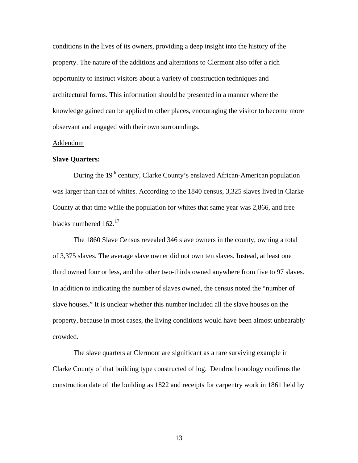conditions in the lives of its owners, providing a deep insight into the history of the property. The nature of the additions and alterations to Clermont also offer a rich opportunity to instruct visitors about a variety of construction techniques and architectural forms. This information should be presented in a manner where the knowledge gained can be applied to other places, encouraging the visitor to become more observant and engaged with their own surroundings.

## Addendum

#### **Slave Quarters:**

During the 19<sup>th</sup> century, Clarke County's enslaved African-American population was larger than that of whites. According to the 1840 census, 3,325 slaves lived in Clarke County at that time while the population for whites that same year was 2,866, and free blacks numbered 162.<sup>[17](#page-2-16)</sup>

The 1860 Slave Census revealed 346 slave owners in the county, owning a total of 3,375 slaves. The average slave owner did not own ten slaves. Instead, at least one third owned four or less, and the other two-thirds owned anywhere from five to 97 slaves. In addition to indicating the number of slaves owned, the census noted the "number of slave houses." It is unclear whether this number included all the slave houses on the property, because in most cases, the living conditions would have been almost unbearably crowded.

The slave quarters at Clermont are significant as a rare surviving example in Clarke County of that building type constructed of log. Dendrochronology confirms the construction date of the building as 1822 and receipts for carpentry work in 1861 held by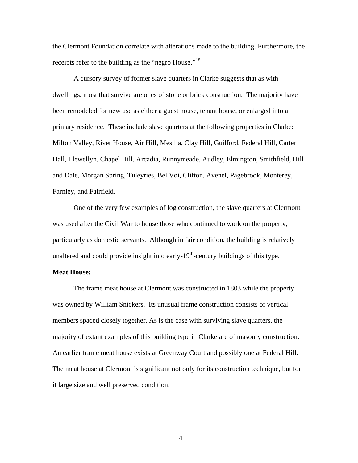the Clermont Foundation correlate with alterations made to the building. Furthermore, the receipts refer to the building as the "negro House."<sup>[18](#page-2-17)</sup>

A cursory survey of former slave quarters in Clarke suggests that as with dwellings, most that survive are ones of stone or brick construction. The majority have been remodeled for new use as either a guest house, tenant house, or enlarged into a primary residence. These include slave quarters at the following properties in Clarke: Milton Valley, River House, Air Hill, Mesilla, Clay Hill, Guilford, Federal Hill, Carter Hall, Llewellyn, Chapel Hill, Arcadia, Runnymeade, Audley, Elmington, Smithfield, Hill and Dale, Morgan Spring, Tuleyries, Bel Voi, Clifton, Avenel, Pagebrook, Monterey, Farnley, and Fairfield.

One of the very few examples of log construction, the slave quarters at Clermont was used after the Civil War to house those who continued to work on the property, particularly as domestic servants. Although in fair condition, the building is relatively unaltered and could provide insight into early- $19<sup>th</sup>$ -century buildings of this type.

## **Meat House:**

The frame meat house at Clermont was constructed in 1803 while the property was owned by William Snickers. Its unusual frame construction consists of vertical members spaced closely together. As is the case with surviving slave quarters, the majority of extant examples of this building type in Clarke are of masonry construction. An earlier frame meat house exists at Greenway Court and possibly one at Federal Hill. The meat house at Clermont is significant not only for its construction technique, but for it large size and well preserved condition.